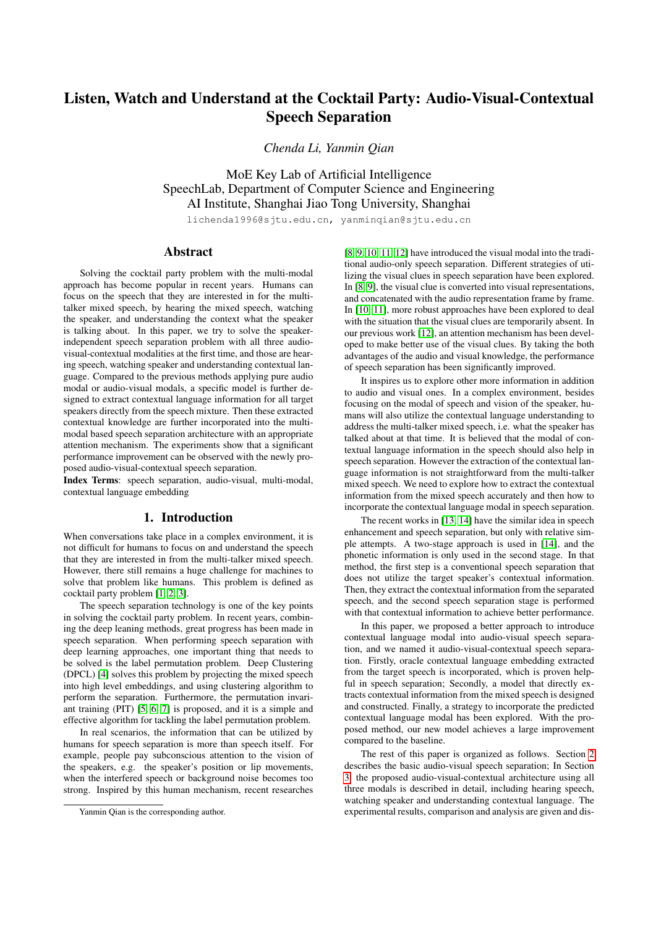# Listen, Watch and Understand at the Cocktail Party: Audio-Visual-Contextual Speech Separation

*Chenda Li, Yanmin Qian*

MoE Key Lab of Artificial Intelligence SpeechLab, Department of Computer Science and Engineering AI Institute, Shanghai Jiao Tong University, Shanghai

lichenda1996@sjtu.edu.cn, yanminqian@sjtu.edu.cn

# Abstract

Solving the cocktail party problem with the multi-modal approach has become popular in recent years. Humans can focus on the speech that they are interested in for the multitalker mixed speech, by hearing the mixed speech, watching the speaker, and understanding the context what the speaker is talking about. In this paper, we try to solve the speakerindependent speech separation problem with all three audiovisual-contextual modalities at the first time, and those are hearing speech, watching speaker and understanding contextual language. Compared to the previous methods applying pure audio modal or audio-visual modals, a specific model is further designed to extract contextual language information for all target speakers directly from the speech mixture. Then these extracted contextual knowledge are further incorporated into the multimodal based speech separation architecture with an appropriate attention mechanism. The experiments show that a significant performance improvement can be observed with the newly proposed audio-visual-contextual speech separation.

Index Terms: speech separation, audio-visual, multi-modal, contextual language embedding

### 1. Introduction

When conversations take place in a complex environment, it is not difficult for humans to focus on and understand the speech that they are interested in from the multi-talker mixed speech. However, there still remains a huge challenge for machines to solve that problem like humans. This problem is defined as cocktail party problem [\[1,](#page-4-0) [2,](#page-4-1) [3\]](#page-4-2).

The speech separation technology is one of the key points in solving the cocktail party problem. In recent years, combining the deep leaning methods, great progress has been made in speech separation. When performing speech separation with deep learning approaches, one important thing that needs to be solved is the label permutation problem. Deep Clustering (DPCL) [\[4\]](#page-4-3) solves this problem by projecting the mixed speech into high level embeddings, and using clustering algorithm to perform the separation. Furthermore, the permutation invariant training (PIT) [\[5,](#page-4-4) [6,](#page-4-5) [7\]](#page-4-6) is proposed, and it is a simple and effective algorithm for tackling the label permutation problem.

In real scenarios, the information that can be utilized by humans for speech separation is more than speech itself. For example, people pay subconscious attention to the vision of the speakers, e.g. the speaker's position or lip movements, when the interfered speech or background noise becomes too strong. Inspired by this human mechanism, recent researches [\[8,](#page-4-7) [9,](#page-4-8) [10,](#page-4-9) [11,](#page-4-10) [12\]](#page-4-11) have introduced the visual modal into the traditional audio-only speech separation. Different strategies of utilizing the visual clues in speech separation have been explored. In [\[8,](#page-4-7) [9\]](#page-4-8), the visual clue is converted into visual representations, and concatenated with the audio representation frame by frame. In [\[10,](#page-4-9) [11\]](#page-4-10), more robust approaches have been explored to deal with the situation that the visual clues are temporarily absent. In our previous work [\[12\]](#page-4-11), an attention mechanism has been developed to make better use of the visual clues. By taking the both advantages of the audio and visual knowledge, the performance of speech separation has been significantly improved.

It inspires us to explore other more information in addition to audio and visual ones. In a complex environment, besides focusing on the modal of speech and vision of the speaker, humans will also utilize the contextual language understanding to address the multi-talker mixed speech, i.e. what the speaker has talked about at that time. It is believed that the modal of contextual language information in the speech should also help in speech separation. However the extraction of the contextual language information is not straightforward from the multi-talker mixed speech. We need to explore how to extract the contextual information from the mixed speech accurately and then how to incorporate the contextual language modal in speech separation.

The recent works in [\[13,](#page-4-12) [14\]](#page-4-13) have the similar idea in speech enhancement and speech separation, but only with relative simple attempts. A two-stage approach is used in [\[14\]](#page-4-13), and the phonetic information is only used in the second stage. In that method, the first step is a conventional speech separation that does not utilize the target speaker's contextual information. Then, they extract the contextual information from the separated speech, and the second speech separation stage is performed with that contextual information to achieve better performance.

In this paper, we proposed a better approach to introduce contextual language modal into audio-visual speech separation, and we named it audio-visual-contextual speech separation. Firstly, oracle contextual language embedding extracted from the target speech is incorporated, which is proven helpful in speech separation; Secondly, a model that directly extracts contextual information from the mixed speech is designed and constructed. Finally, a strategy to incorporate the predicted contextual language modal has been explored. With the proposed method, our new model achieves a large improvement compared to the baseline.

The rest of this paper is organized as follows. Section [2](#page-1-0) describes the basic audio-visual speech separation; In Section [3,](#page-1-1) the proposed audio-visual-contextual architecture using all three modals is described in detail, including hearing speech, watching speaker and understanding contextual language. The experimental results, comparison and analysis are given and dis-

Yanmin Qian is the corresponding author.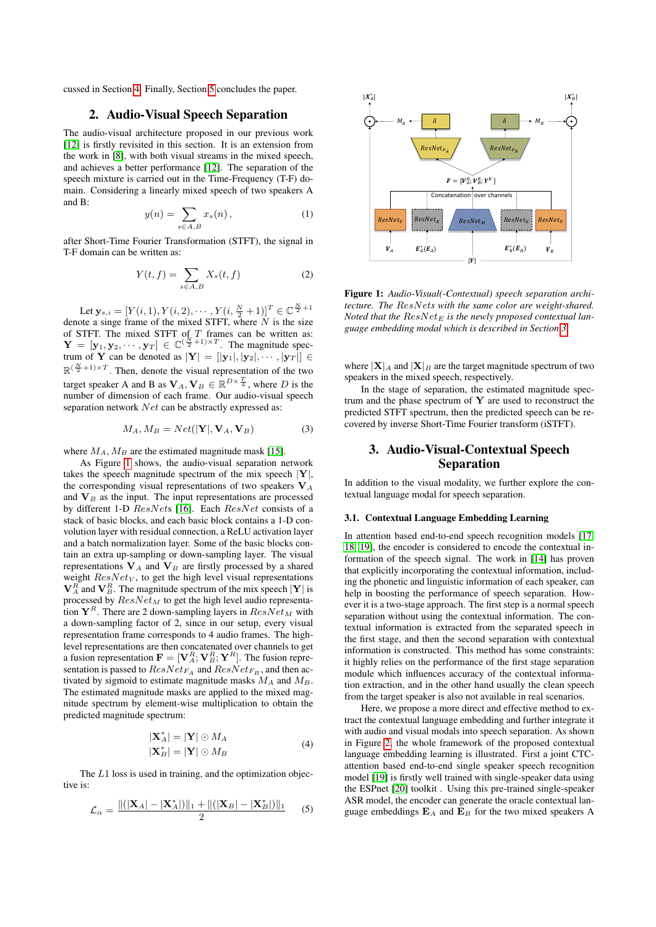<span id="page-1-0"></span>cussed in Section [4.](#page-2-0) Finally, Section [5](#page-3-0) concludes the paper.

# 2. Audio-Visual Speech Separation

The audio-visual architecture proposed in our previous work [\[12\]](#page-4-11) is firstly revisited in this section. It is an extension from the work in [\[8\]](#page-4-7), with both visual streams in the mixed speech, and achieves a better performance [\[12\]](#page-4-11). The separation of the speech mixture is carried out in the Time-Frequency (T-F) domain. Considering a linearly mixed speech of two speakers A and B:

$$
y(n) = \sum_{s \in A, B} x_s(n), \qquad (1)
$$

after Short-Time Fourier Transformation (STFT), the signal in T-F domain can be written as:

$$
Y(t,f) = \sum_{s \in A,B} X_s(t,f) \tag{2}
$$

Let  $\mathbf{y}_{s,i} = [Y(i,1), Y(i,2), \cdots, Y(i, \frac{N}{2}+1)]^T \in \mathbb{C}^{\frac{N}{2}+1}$ denote a singe frame of the mixed STFT, where  $N$  is the size of STFT. The mixed STFT of  $T$  frames can be written as:  $\mathbf{Y} = [\mathbf{y}_1, \mathbf{y}_2, \cdots, \mathbf{y}_T] \in \mathbb{C}^{(\frac{N}{2}+1) \times T}$ . The magnitude spectrum of Y can be denoted as  $|Y| = |y_1|, |y_2|, \cdots, |y_T| \in$  $\mathbb{R}^{(\frac{N}{2}+1)\times T}$ . Then, denote the visual representation of the two target speaker A and B as  $V_A$ ,  $V_B \in \mathbb{R}^{D \times \frac{T}{4}}$ , where D is the number of dimension of each frame. Our audio-visual speech separation network Net can be abstractly expressed as:

$$
M_A, M_B = Net(|\mathbf{Y}|, \mathbf{V}_A, \mathbf{V}_B)
$$
 (3)

where  $M_A$ ,  $M_B$  are the estimated magnitude mask [\[15\]](#page-4-14).

As Figure [1](#page-1-2) shows, the audio-visual separation network takes the speech magnitude spectrum of the mix speech  $|Y|$ , the corresponding visual representations of two speakers  $V_A$ and  $V_B$  as the input. The input representations are processed by different 1-D ResNets [\[16\]](#page-4-15). Each ResNet consists of a stack of basic blocks, and each basic block contains a 1-D convolution layer with residual connection, a ReLU activation layer and a batch normalization layer. Some of the basic blocks contain an extra up-sampling or down-sampling layer. The visual representations  $V_A$  and  $V_B$  are firstly processed by a shared weight  $ResNet_V$ , to get the high level visual representations  $\mathbf{V}_A^R$  and  $\mathbf{V}_B^R$ . The magnitude spectrum of the mix speech  $|\mathbf{Y}|$  is processed by  $ResNet_M$  to get the high level audio representation  $Y^R$ . There are 2 down-sampling layers in  $ResNet_M$  with a down-sampling factor of 2, since in our setup, every visual representation frame corresponds to 4 audio frames. The highlevel representations are then concatenated over channels to get a fusion representation  $\mathbf{F} = [\mathbf{V}_A^R; \mathbf{V}_B^R; \mathbf{Y}^R]$ . The fusion representation is passed to  $ResNet_{FA}$  and  $ResNet_{FB}$ , and then activated by sigmoid to estimate magnitude masks  $M_A$  and  $M_B$ . The estimated magnitude masks are applied to the mixed magnitude spectrum by element-wise multiplication to obtain the predicted magnitude spectrum:

$$
|\mathbf{X}_{A}^{*}| = |\mathbf{Y}| \odot M_{A}
$$
  

$$
|\mathbf{X}_{B}^{*}| = |\mathbf{Y}| \odot M_{B}
$$
 (4)

The L1 loss is used in training, and the optimization objective is:

$$
\mathcal{L}_{\alpha} = \frac{\|(|\mathbf{X}_A| - |\mathbf{X}_A^*|)\|_1 + \|(|\mathbf{X}_B| - |\mathbf{X}_B^*|)\|_1}{2} \tag{5}
$$

<span id="page-1-2"></span>

Figure 1: *Audio-Visual(-Contextual) speech separation architecture. The* ResNet*s with the same color are weight-shared. Noted that the ResNet<sub>E</sub> is the newly proposed contextual language embedding modal which is described in Section [3.](#page-1-1)*

where  $|\mathbf{X}|_A$  and  $|\mathbf{X}|_B$  are the target magnitude spectrum of two speakers in the mixed speech, respectively.

In the stage of separation, the estimated magnitude spectrum and the phase spectrum of  $Y$  are used to reconstruct the predicted STFT spectrum, then the predicted speech can be recovered by inverse Short-Time Fourier transform (iSTFT).

# <span id="page-1-1"></span>3. Audio-Visual-Contextual Speech Separation

In addition to the visual modality, we further explore the contextual language modal for speech separation.

#### 3.1. Contextual Language Embedding Learning

In attention based end-to-end speech recognition models [\[17,](#page-4-16) [18,](#page-4-17) [19\]](#page-4-18), the encoder is considered to encode the contextual information of the speech signal. The work in [\[14\]](#page-4-13) has proven that explicitly incorporating the contextual information, including the phonetic and linguistic information of each speaker, can help in boosting the performance of speech separation. However it is a two-stage approach. The first step is a normal speech separation without using the contextual information. The contextual information is extracted from the separated speech in the first stage, and then the second separation with contextual information is constructed. This method has some constraints: it highly relies on the performance of the first stage separation module which influences accuracy of the contextual information extraction, and in the other hand usually the clean speech from the target speaker is also not available in real scenarios.

Here, we propose a more direct and effective method to extract the contextual language embedding and further integrate it with audio and visual modals into speech separation. As shown in Figure [2,](#page-2-1) the whole framework of the proposed contextual language embedding learning is illustrated. First a joint CTCattention based end-to-end single speaker speech recognition model [\[19\]](#page-4-18) is firstly well trained with single-speaker data using the ESPnet [\[20\]](#page-4-19) toolkit . Using this pre-trained single-speaker ASR model, the encoder can generate the oracle contextual language embeddings  $E_A$  and  $E_B$  for the two mixed speakers A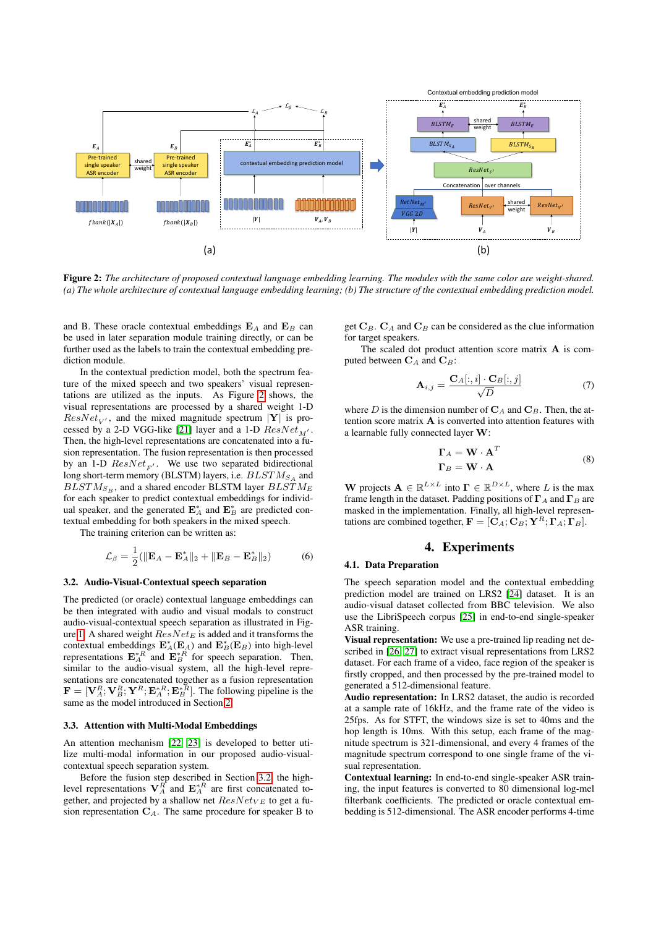<span id="page-2-1"></span>

Figure 2: *The architecture of proposed contextual language embedding learning. The modules with the same color are weight-shared. (a) The whole architecture of contextual language embedding learning; (b) The structure of the contextual embedding prediction model.*

and B. These oracle contextual embeddings  $E_A$  and  $E_B$  can be used in later separation module training directly, or can be further used as the labels to train the contextual embedding prediction module.

In the contextual prediction model, both the spectrum feature of the mixed speech and two speakers' visual representations are utilized as the inputs. As Figure [2](#page-2-1) shows, the visual representations are processed by a shared weight 1-D  $ResNet_{V'}$ , and the mixed magnitude spectrum |Y| is pro-cessed by a 2-D VGG-like [\[21\]](#page-4-20) layer and a 1-D  $ResNet_{M'}$ . Then, the high-level representations are concatenated into a fusion representation. The fusion representation is then processed by an 1-D  $ResNet_{F'}$ . We use two separated bidirectional long short-term memory (BLSTM) layers, i.e.  $BLSTM_{SA}$  and  $BLSTM_{S_B}$ , and a shared encoder BLSTM layer  $BLSTM_E$ for each speaker to predict contextual embeddings for individual speaker, and the generated  $\mathbf{E}_A^*$  and  $\mathbf{E}_B^*$  are predicted contextual embedding for both speakers in the mixed speech.

The training criterion can be written as:

$$
\mathcal{L}_{\beta} = \frac{1}{2} (||\mathbf{E}_A - \mathbf{E}_A^*||_2 + ||\mathbf{E}_B - \mathbf{E}_B^*||_2)
$$
 (6)

#### <span id="page-2-2"></span>3.2. Audio-Visual-Contextual speech separation

The predicted (or oracle) contextual language embeddings can be then integrated with audio and visual modals to construct audio-visual-contextual speech separation as illustrated in Fig-ure [1.](#page-1-2) A shared weight  $ResNet_E$  is added and it transforms the contextual embeddings  $\mathbf{E}_A^*(\mathbf{E}_A)$  and  $\mathbf{E}_B^*(\mathbf{E}_B)$  into high-level representations  $\mathbf{E}_{A}^{*R}$  and  $\mathbf{E}_{B}^{*R}$  for speech separation. Then, similar to the audio-visual system, all the high-level representations are concatenated together as a fusion representation  $\mathbf{F} = [\mathbf{V}_A^R; \mathbf{V}_B^R; \mathbf{Y}^R; \mathbf{E}_A^{*R}; \mathbf{E}_B^{*R}]$ . The following pipeline is the same as the model introduced in Section [2.](#page-1-0)

#### <span id="page-2-3"></span>3.3. Attention with Multi-Modal Embeddings

An attention mechanism [\[22,](#page-4-21) [23\]](#page-4-22) is developed to better utilize multi-modal information in our proposed audio-visualcontextual speech separation system.

Before the fusion step described in Section [3.2,](#page-2-2) the highlevel representations  $V_A^R$  and  $E_A^{*R}$  are first concatenated together, and projected by a shallow net  $ResNetVE$  to get a fusion representation  $C_A$ . The same procedure for speaker B to get  $C_B$ .  $C_A$  and  $C_B$  can be considered as the clue information for target speakers.

The scaled dot product attention score matrix A is computed between  $C_A$  and  $C_B$ :

$$
\mathbf{A}_{i,j} = \frac{\mathbf{C}_A[:,i] \cdot \mathbf{C}_B[:,j]}{\sqrt{D}} \tag{7}
$$

where D is the dimension number of  $C_A$  and  $C_B$ . Then, the attention score matrix A is converted into attention features with a learnable fully connected layer W:

$$
\Gamma_A = \mathbf{W} \cdot \mathbf{A}^T
$$
  
\n
$$
\Gamma_B = \mathbf{W} \cdot \mathbf{A}
$$
 (8)

**W** projects  $A \in \mathbb{R}^{L \times L}$  into  $\Gamma \in \mathbb{R}^{D \times L}$ , where L is the max frame length in the dataset. Padding positions of  $\Gamma_A$  and  $\Gamma_B$  are masked in the implementation. Finally, all high-level representations are combined together,  $\mathbf{F} = [\mathbf{C}_A; \mathbf{C}_B; \mathbf{Y}^R; \mathbf{\Gamma}_A; \mathbf{\Gamma}_B].$ 

# 4. Experiments

### <span id="page-2-0"></span>4.1. Data Preparation

The speech separation model and the contextual embedding prediction model are trained on LRS2 [\[24\]](#page-4-23) dataset. It is an audio-visual dataset collected from BBC television. We also use the LibriSpeech corpus [\[25\]](#page-4-24) in end-to-end single-speaker ASR training.

Visual representation: We use a pre-trained lip reading net described in [\[26,](#page-4-25) [27\]](#page-4-26) to extract visual representations from LRS2 dataset. For each frame of a video, face region of the speaker is firstly cropped, and then processed by the pre-trained model to generated a 512-dimensional feature.

Audio representation: In LRS2 dataset, the audio is recorded at a sample rate of 16kHz, and the frame rate of the video is 25fps. As for STFT, the windows size is set to 40ms and the hop length is 10ms. With this setup, each frame of the magnitude spectrum is 321-dimensional, and every 4 frames of the magnitude spectrum correspond to one single frame of the visual representation.

Contextual learning: In end-to-end single-speaker ASR training, the input features is converted to 80 dimensional log-mel filterbank coefficients. The predicted or oracle contextual embedding is 512-dimensional. The ASR encoder performs 4-time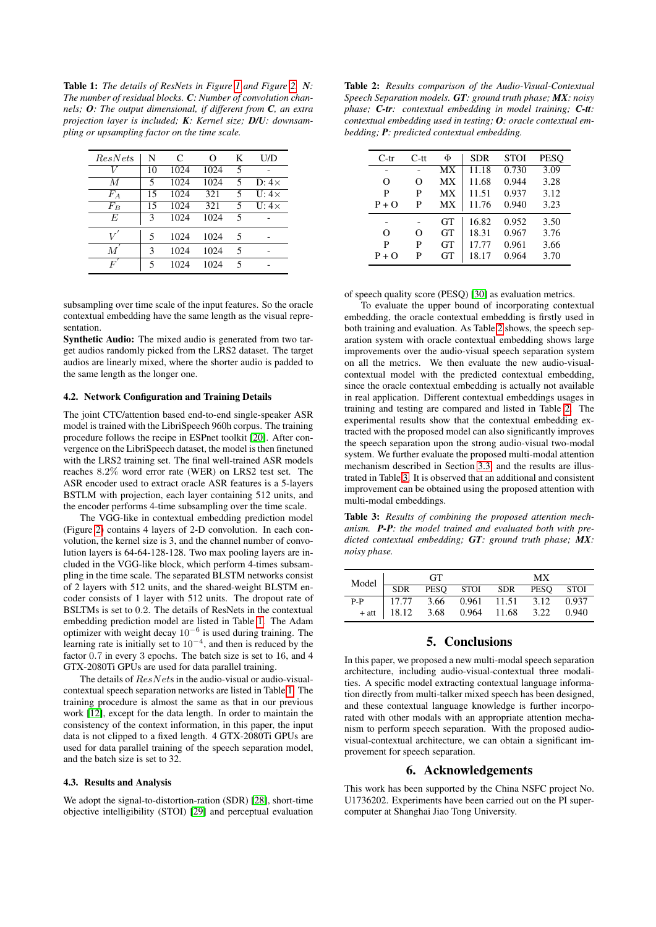<span id="page-3-1"></span>Table 1: *The details of ResNets in Figure [1](#page-1-2) and Figure [2.](#page-2-1) N: The number of residual blocks. C: Number of convolution channels; O: The output dimensional, if different from C, an extra projection layer is included; K: Kernel size; D/U: downsampling or upsampling factor on the time scale.*

| ResNets | N  | C    | ∩    | K | U/D          |
|---------|----|------|------|---|--------------|
|         | 10 | 1024 | 1024 | 5 |              |
| М       | 5  | 1024 | 1024 | 5 | D: $4\times$ |
| $F_A$   | 15 | 1024 | 321  | 5 | $U:4\times$  |
| $F_{B}$ | 15 | 1024 | 321  | 5 | $U:4\times$  |
| E       | 3  | 1024 | 1024 | 5 |              |
| V       | 5  | 1024 | 1024 | 5 |              |
| М       | 3  | 1024 | 1024 | 5 |              |
| F       | 5  | 1024 | 1024 | 5 |              |

subsampling over time scale of the input features. So the oracle contextual embedding have the same length as the visual representation.

Synthetic Audio: The mixed audio is generated from two target audios randomly picked from the LRS2 dataset. The target audios are linearly mixed, where the shorter audio is padded to the same length as the longer one.

### 4.2. Network Configuration and Training Details

The joint CTC/attention based end-to-end single-speaker ASR model is trained with the LibriSpeech 960h corpus. The training procedure follows the recipe in ESPnet toolkit [\[20\]](#page-4-19). After convergence on the LibriSpeech dataset, the model is then finetuned with the LRS2 training set. The final well-trained ASR models reaches 8.2% word error rate (WER) on LRS2 test set. The ASR encoder used to extract oracle ASR features is a 5-layers BSTLM with projection, each layer containing 512 units, and the encoder performs 4-time subsampling over the time scale.

The VGG-like in contextual embedding prediction model (Figure [2\)](#page-2-1) contains 4 layers of 2-D convolution. In each convolution, the kernel size is 3, and the channel number of convolution layers is 64-64-128-128. Two max pooling layers are included in the VGG-like block, which perform 4-times subsampling in the time scale. The separated BLSTM networks consist of 2 layers with 512 units, and the shared-weight BLSTM encoder consists of 1 layer with 512 units. The dropout rate of BSLTMs is set to 0.2. The details of ResNets in the contextual embedding prediction model are listed in Table [1.](#page-3-1) The Adam optimizer with weight decay  $10^{-6}$  is used during training. The learning rate is initially set to  $10^{-4}$ , and then is reduced by the factor 0.7 in every 3 epochs. The batch size is set to 16, and 4 GTX-2080Ti GPUs are used for data parallel training.

The details of  $ResNets$  in the audio-visual or audio-visualcontextual speech separation networks are listed in Table [1.](#page-3-1) The training procedure is almost the same as that in our previous work [\[12\]](#page-4-11), except for the data length. In order to maintain the consistency of the context information, in this paper, the input data is not clipped to a fixed length. 4 GTX-2080Ti GPUs are used for data parallel training of the speech separation model, and the batch size is set to 32.

#### 4.3. Results and Analysis

We adopt the signal-to-distortion-ration (SDR) [\[28\]](#page-4-27), short-time objective intelligibility (STOI) [\[29\]](#page-4-28) and perceptual evaluation

<span id="page-3-2"></span>Table 2: *Results comparison of the Audio-Visual-Contextual Speech Separation models. GT: ground truth phase; MX: noisy phase; C-tr: contextual embedding in model training; C-tt: contextual embedding used in testing; O: oracle contextual embedding; P: predicted contextual embedding.*

| $C-tr$   | $C$ -tt | Φ         | <b>SDR</b> | STOI  | <b>PESO</b> |
|----------|---------|-----------|------------|-------|-------------|
|          |         | МX        | 11.18      | 0.730 | 3.09        |
| $\Omega$ | Ω       | MX        | 11.68      | 0.944 | 3.28        |
| P        | P       | MX        | 11.51      | 0.937 | 3.12        |
| $P + Q$  | P       | MX        | 11.76      | 0.940 | 3.23        |
|          |         | <b>GT</b> | 16.82      | 0.952 | 3.50        |
| $\Omega$ | Ω       | <b>GT</b> | 18.31      | 0.967 | 3.76        |
| P        | P       | GT        | 17.77      | 0.961 | 3.66        |
| $P + Q$  | P       | GT        | 18.17      | 0.964 | 3.70        |
|          |         |           |            |       |             |

of speech quality score (PESQ) [\[30\]](#page-4-29) as evaluation metrics.

To evaluate the upper bound of incorporating contextual embedding, the oracle contextual embedding is firstly used in both training and evaluation. As Table [2](#page-3-2) shows, the speech separation system with oracle contextual embedding shows large improvements over the audio-visual speech separation system on all the metrics. We then evaluate the new audio-visualcontextual model with the predicted contextual embedding, since the oracle contextual embedding is actually not available in real application. Different contextual embeddings usages in training and testing are compared and listed in Table [2.](#page-3-2) The experimental results show that the contextual embedding extracted with the proposed model can also significantly improves the speech separation upon the strong audio-visual two-modal system. We further evaluate the proposed multi-modal attention mechanism described in Section [3.3,](#page-2-3) and the results are illustrated in Table [3.](#page-3-3) It is observed that an additional and consistent improvement can be obtained using the proposed attention with multi-modal embeddings.

<span id="page-3-3"></span>Table 3: *Results of combining the proposed attention mechanism. P-P: the model trained and evaluated both with predicted contextual embedding; GT: ground truth phase; MX: noisy phase.*

| Model $\overline{\phantom{a}}$ | <b>GT</b> |      |  | MX                                    |  |       |
|--------------------------------|-----------|------|--|---------------------------------------|--|-------|
|                                |           |      |  | SDR PESQ STOI SDR PESQ STOI           |  |       |
| $P-P$                          | 17.77     | 3.66 |  | 0.961 11.51 3.12 0.937                |  |       |
|                                |           |      |  | $+$ att   18.12 3.68 0.964 11.68 3.22 |  | 0.940 |

### 5. Conclusions

<span id="page-3-0"></span>In this paper, we proposed a new multi-modal speech separation architecture, including audio-visual-contextual three modalities. A specific model extracting contextual language information directly from multi-talker mixed speech has been designed, and these contextual language knowledge is further incorporated with other modals with an appropriate attention mechanism to perform speech separation. With the proposed audiovisual-contextual architecture, we can obtain a significant improvement for speech separation.

### 6. Acknowledgements

This work has been supported by the China NSFC project No. U1736202. Experiments have been carried out on the PI supercomputer at Shanghai Jiao Tong University.